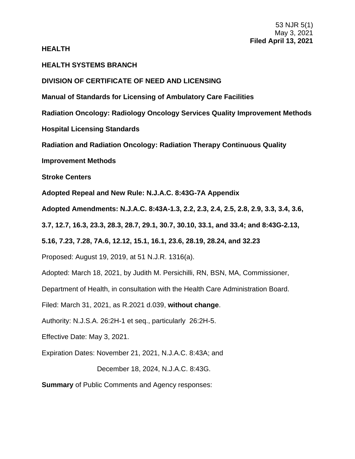### **HEALTH**

# **HEALTH SYSTEMS BRANCH**

### **DIVISION OF CERTIFICATE OF NEED AND LICENSING**

**Manual of Standards for Licensing of Ambulatory Care Facilities**

**Radiation Oncology: Radiology Oncology Services Quality Improvement Methods**

**Hospital Licensing Standards**

**Radiation and Radiation Oncology: Radiation Therapy Continuous Quality**

**Improvement Methods**

**Stroke Centers**

**Adopted Repeal and New Rule: N.J.A.C. 8:43G-7A Appendix**

**Adopted Amendments: N.J.A.C. 8:43A-1.3, 2.2, 2.3, 2.4, 2.5, 2.8, 2.9, 3.3, 3.4, 3.6,** 

**3.7, 12.7, 16.3, 23.3, 28.3, 28.7, 29.1, 30.7, 30.10, 33.1, and 33.4; and 8:43G-2.13,** 

**5.16, 7.23, 7.28, 7A.6, 12.12, 15.1, 16.1, 23.6, 28.19, 28.24, and 32.23**

Proposed: August 19, 2019, at 51 N.J.R. 1316(a).

Adopted: March 18, 2021, by Judith M. Persichilli, RN, BSN, MA, Commissioner,

Department of Health, in consultation with the Health Care Administration Board.

Filed: March 31, 2021, as R.2021 d.039, **without change**.

Authority: N.J.S.A. 26:2H-1 et seq., particularly 26:2H-5.

Effective Date: May 3, 2021.

Expiration Dates: November 21, 2021, N.J.A.C. 8:43A; and

December 18, 2024, N.J.A.C. 8:43G.

**Summary** of Public Comments and Agency responses: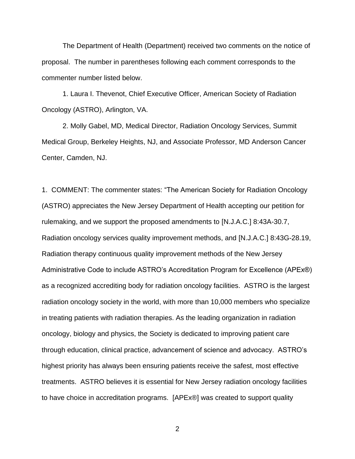The Department of Health (Department) received two comments on the notice of proposal. The number in parentheses following each comment corresponds to the commenter number listed below.

1. Laura I. Thevenot, Chief Executive Officer, American Society of Radiation Oncology (ASTRO), Arlington, VA.

2. Molly Gabel, MD, Medical Director, Radiation Oncology Services, Summit Medical Group, Berkeley Heights, NJ, and Associate Professor, MD Anderson Cancer Center, Camden, NJ.

1. COMMENT: The commenter states: "The American Society for Radiation Oncology (ASTRO) appreciates the New Jersey Department of Health accepting our petition for rulemaking, and we support the proposed amendments to [N.J.A.C.] 8:43A-30.7, Radiation oncology services quality improvement methods, and [N.J.A.C.] 8:43G-28.19, Radiation therapy continuous quality improvement methods of the New Jersey Administrative Code to include ASTRO's Accreditation Program for Excellence (APEx®) as a recognized accrediting body for radiation oncology facilities. ASTRO is the largest radiation oncology society in the world, with more than 10,000 members who specialize in treating patients with radiation therapies. As the leading organization in radiation oncology, biology and physics, the Society is dedicated to improving patient care through education, clinical practice, advancement of science and advocacy. ASTRO's highest priority has always been ensuring patients receive the safest, most effective treatments. ASTRO believes it is essential for New Jersey radiation oncology facilities to have choice in accreditation programs. [APEx®] was created to support quality

2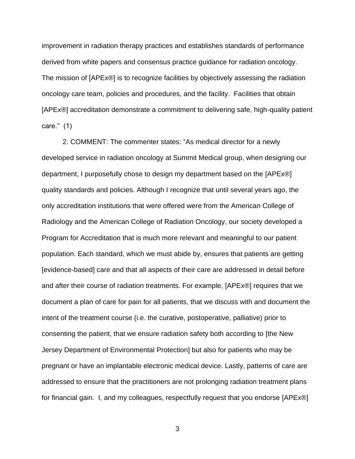improvement in radiation therapy practices and establishes standards of performance derived from white papers and consensus practice guidance for radiation oncology. The mission of [APEx®] is to recognize facilities by objectively assessing the radiation oncology care team, policies and procedures, and the facility. Facilities that obtain [APEx®] accreditation demonstrate a commitment to delivering safe, high-quality patient care." (1)

2. COMMENT: The commenter states: "As medical director for a newly developed service in radiation oncology at Summit Medical group, when designing our department, I purposefully chose to design my department based on the [APEx®] quality standards and policies. Although I recognize that until several years ago, the only accreditation institutions that were offered were from the American College of Radiology and the American College of Radiation Oncology, our society developed a Program for Accreditation that is much more relevant and meaningful to our patient population. Each standard, which we must abide by, ensures that patients are getting [evidence-based] care and that all aspects of their care are addressed in detail before and after their course of radiation treatments. For example, [APEx®] requires that we document a plan of care for pain for all patients, that we discuss with and document the intent of the treatment course (i.e. the curative, postoperative, palliative) prior to consenting the patient, that we ensure radiation safety both according to [the New Jersey Department of Environmental Protection] but also for patients who may be pregnant or have an implantable electronic medical device. Lastly, patterns of care are addressed to ensure that the practitioners are not prolonging radiation treatment plans for financial gain. I, and my colleagues, respectfully request that you endorse [APEx®]

3